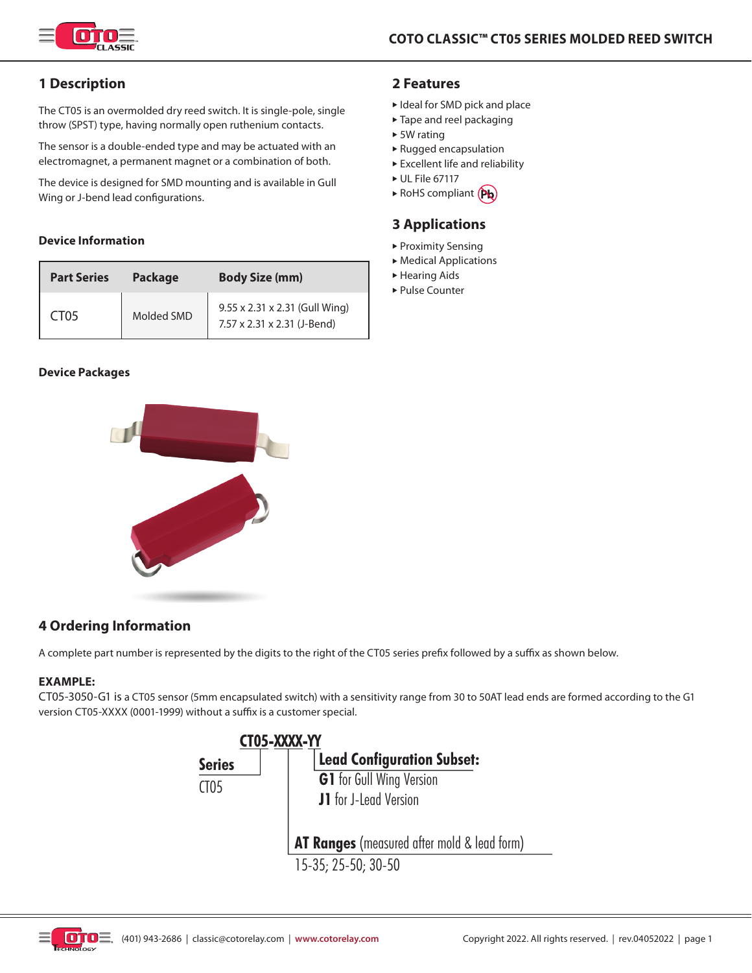

# **1 Description**

The CT05 is an overmolded dry reed switch. It is single-pole, single throw (SPST) type, having normally open ruthenium contacts.

The sensor is a double-ended type and may be actuated with an electromagnet, a permanent magnet or a combination of both.

The device is designed for SMD mounting and is available in Gull Wing or J-bend lead configurations.

## **Device Information**

| <b>Part Series</b> | <b>Body Size (mm)</b><br><b>Package</b> |                                                               |
|--------------------|-----------------------------------------|---------------------------------------------------------------|
| CT <sub>05</sub>   | Molded SMD                              | 9.55 x 2.31 x 2.31 (Gull Wing)<br>7.57 x 2.31 x 2.31 (J-Bend) |

### **Device Packages**



## **2 Features**

- ► Ideal for SMD pick and place
- $\blacktriangleright$  Tape and reel packaging
- $\triangleright$  5W rating
- $\blacktriangleright$  Rugged encapsulation
- $\blacktriangleright$  Excellent life and reliability
- $\triangleright$  UL File 67117
- $\triangleright$  RoHS compliant  $(Pb)$

## **3 Applications**

- $\blacktriangleright$  Proximity Sensing
- $\blacktriangleright$  Medical Applications
- $\blacktriangleright$  Hearing Aids
- ► Pulse Counter

# **4 Ordering Information**

A complete part number is represented by the digits to the right of the CT05 series prefix followed by a suffix as shown below.

### **EXAMPLE:**

CT05-3050-G1 is a CT05 sensor (5mm encapsulated switch) with a sensitivity range from 30 to 50AT lead ends are formed according to the G1 version CT05-XXXX (0001-1999) without a suffix is a customer special.



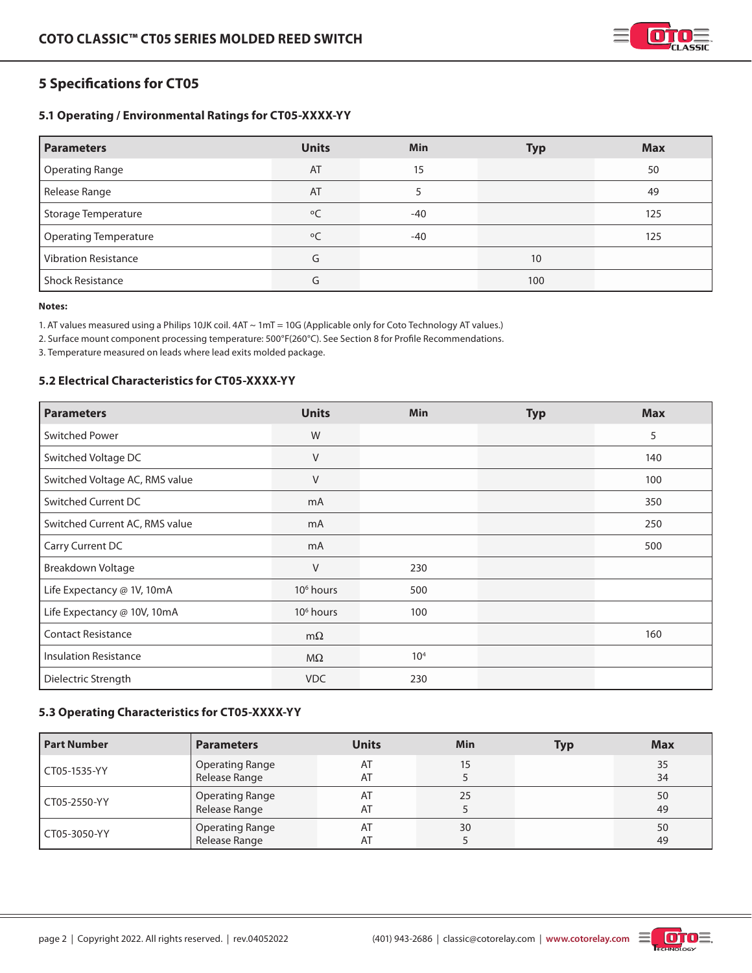

# **5 Specifications for CT05**

## **5.1 Operating / Environmental Ratings for CT05-XXXX-YY**

| <b>Parameters</b>            | <b>Units</b> | <b>Min</b> | <b>Typ</b> | <b>Max</b> |
|------------------------------|--------------|------------|------------|------------|
| <b>Operating Range</b>       | AT           | 15         |            | 50         |
| Release Range                | AT           |            |            | 49         |
| <b>Storage Temperature</b>   | $\circ$      | -40        |            | 125        |
| <b>Operating Temperature</b> | $\circ$ C    | $-40$      |            | 125        |
| <b>Vibration Resistance</b>  | G            |            | 10         |            |
| <b>Shock Resistance</b>      | G            |            | 100        |            |

#### **Notes:**

1. AT values measured using a Philips 10JK coil. 4AT ~ 1mT = 10G (Applicable only for Coto Technology AT values.)

2. Surface mount component processing temperature: 500°F(260°C). See Section 8 for Profile Recommendations.

3. Temperature measured on leads where lead exits molded package.

## **5.2 Electrical Characteristics for CT05-XXXX-YY**

| <b>Parameters</b>              | <b>Units</b>          | <b>Min</b>      | <b>Typ</b> | <b>Max</b> |
|--------------------------------|-----------------------|-----------------|------------|------------|
| <b>Switched Power</b>          | W                     |                 |            | 5          |
| Switched Voltage DC            | V                     |                 |            | 140        |
| Switched Voltage AC, RMS value | V                     |                 |            | 100        |
| Switched Current DC            | mA                    |                 |            | 350        |
| Switched Current AC, RMS value | mA                    |                 |            | 250        |
| Carry Current DC               | mA                    |                 |            | 500        |
| Breakdown Voltage              | V                     | 230             |            |            |
| Life Expectancy @ 1V, 10mA     | 10 <sup>6</sup> hours | 500             |            |            |
| Life Expectancy @ 10V, 10mA    | 10 <sup>6</sup> hours | 100             |            |            |
| <b>Contact Resistance</b>      | $m\Omega$             |                 |            | 160        |
| <b>Insulation Resistance</b>   | $M\Omega$             | 10 <sup>4</sup> |            |            |
| Dielectric Strength            | <b>VDC</b>            | 230             |            |            |

## **5.3 Operating Characteristics for CT05-XXXX-YY**

| <b>Part Number</b> | <b>Parameters</b>                       | <b>Units</b> | Min | Typ | <b>Max</b> |
|--------------------|-----------------------------------------|--------------|-----|-----|------------|
| CT05-1535-YY       | <b>Operating Range</b><br>Release Range | AT<br>AT     |     |     | 35<br>34   |
| CT05-2550-YY       | <b>Operating Range</b><br>Release Range | AT<br>AT     | 25  |     | 50<br>49   |
| CT05-3050-YY       | <b>Operating Range</b><br>Release Range | AT<br>AT     | 30  |     | 50<br>49   |

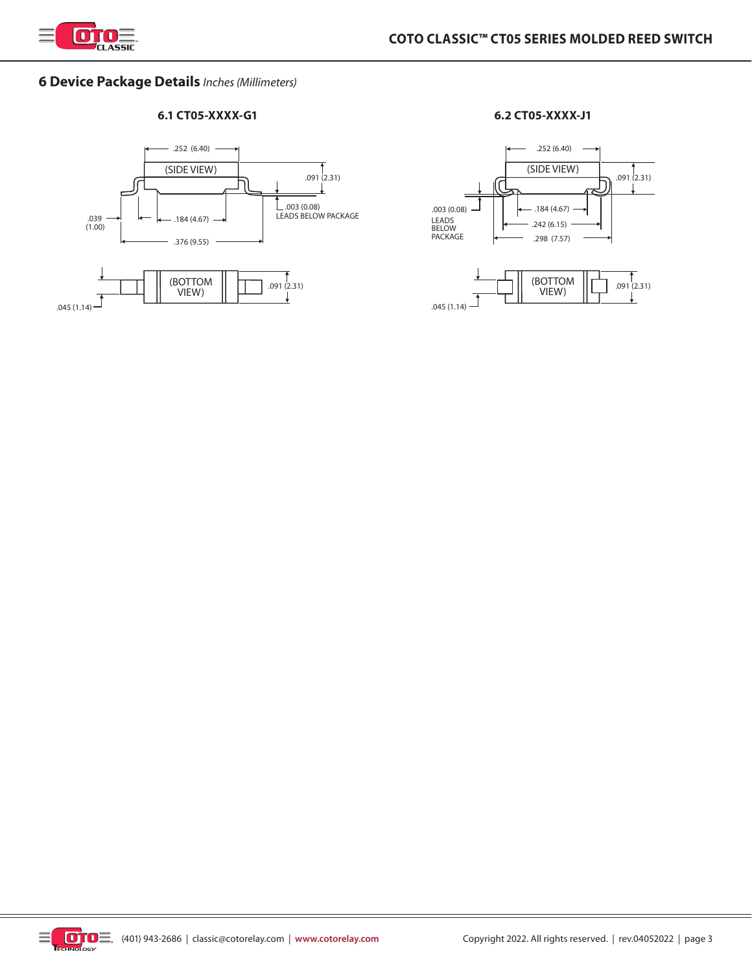

# **6 Device Package Details** *Inches (Millimeters)*

## **6.1 CT05-XXXX-G1 6.2 CT05-XXXX-J1**





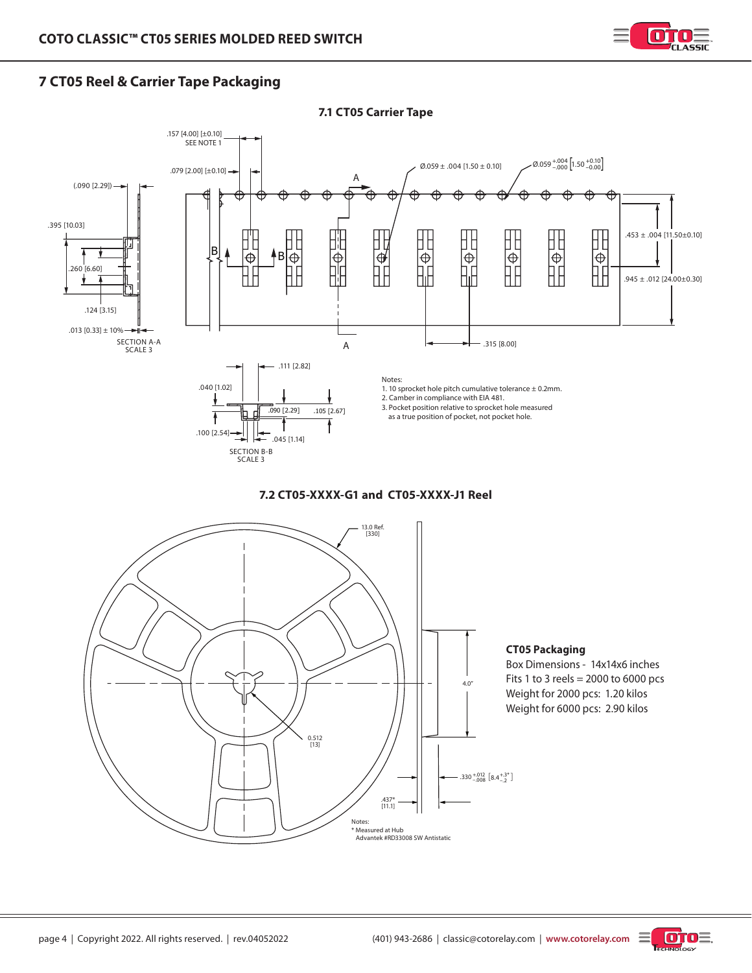

# **7 CT05 Reel & Carrier Tape Packaging**



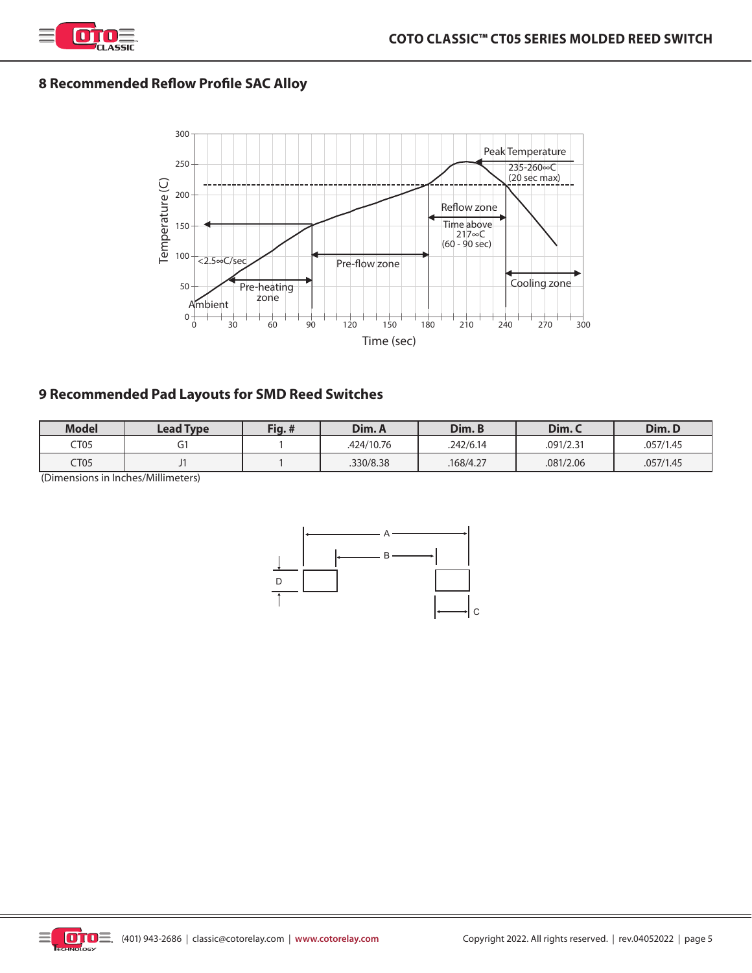

# **8 Recommended Reflow Profile SAC Alloy**



# **9 Recommended Pad Layouts for SMD Reed Switches**

| <b>Model</b> | Lead Type | Fig.# | Dim. A     | Dim. B    | Dim.C     | Dim.D     |
|--------------|-----------|-------|------------|-----------|-----------|-----------|
| CT05         |           |       | .424/10.76 | .242/6.14 | .091/2.31 | .057/1.45 |
| CT05         |           |       | .330/8.38  | 168/4.27  | .081/2.06 | .057/1.45 |

(Dimensions in Inches/Millimeters)



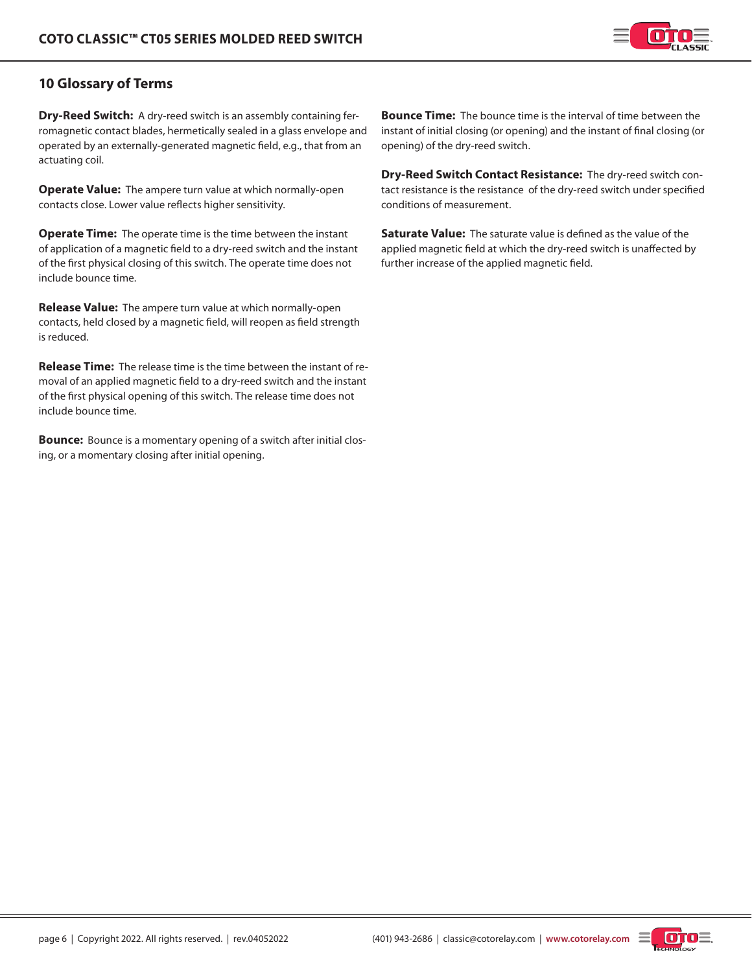

# **10 Glossary of Terms**

**Dry-Reed Switch:** A dry-reed switch is an assembly containing ferromagnetic contact blades, hermetically sealed in a glass envelope and operated by an externally-generated magnetic field, e.g., that from an actuating coil.

**Operate Value:** The ampere turn value at which normally-open contacts close. Lower value reflects higher sensitivity.

**Operate Time:** The operate time is the time between the instant of application of a magnetic field to a dry-reed switch and the instant of the first physical closing of this switch. The operate time does not include bounce time.

**Release Value:** The ampere turn value at which normally-open contacts, held closed by a magnetic field, will reopen as field strength is reduced.

**Release Time:** The release time is the time between the instant of removal of an applied magnetic field to a dry-reed switch and the instant of the first physical opening of this switch. The release time does not include bounce time.

**Bounce:** Bounce is a momentary opening of a switch after initial closing, or a momentary closing after initial opening.

**Bounce Time:** The bounce time is the interval of time between the instant of initial closing (or opening) and the instant of final closing (or opening) of the dry-reed switch.

**Dry-Reed Switch Contact Resistance:** The dry-reed switch contact resistance is the resistance of the dry-reed switch under specified conditions of measurement.

**Saturate Value:** The saturate value is defined as the value of the applied magnetic field at which the dry-reed switch is unaffected by further increase of the applied magnetic field.

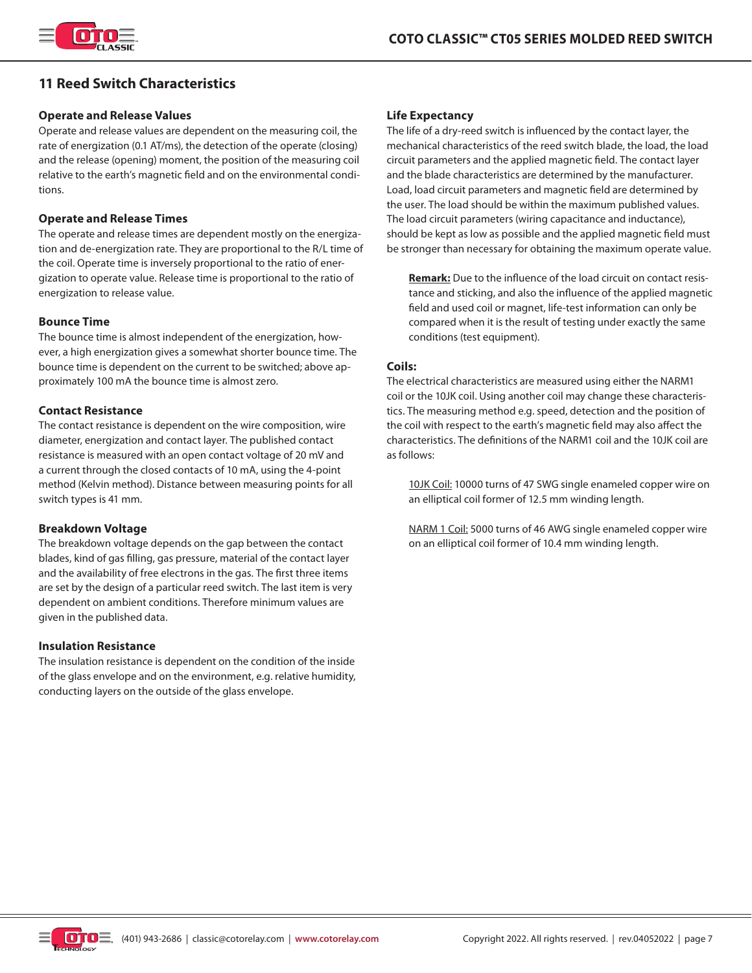

# **11 Reed Switch Characteristics**

#### **Operate and Release Values**

Operate and release values are dependent on the measuring coil, the rate of energization (0.1 AT/ms), the detection of the operate (closing) and the release (opening) moment, the position of the measuring coil relative to the earth's magnetic field and on the environmental conditions.

#### **Operate and Release Times**

The operate and release times are dependent mostly on the energization and de-energization rate. They are proportional to the R/L time of the coil. Operate time is inversely proportional to the ratio of energization to operate value. Release time is proportional to the ratio of energization to release value.

#### **Bounce Time**

The bounce time is almost independent of the energization, however, a high energization gives a somewhat shorter bounce time. The bounce time is dependent on the current to be switched; above approximately 100 mA the bounce time is almost zero.

#### **Contact Resistance**

The contact resistance is dependent on the wire composition, wire diameter, energization and contact layer. The published contact resistance is measured with an open contact voltage of 20 mV and a current through the closed contacts of 10 mA, using the 4-point method (Kelvin method). Distance between measuring points for all switch types is 41 mm.

#### **Breakdown Voltage**

The breakdown voltage depends on the gap between the contact blades, kind of gas filling, gas pressure, material of the contact layer and the availability of free electrons in the gas. The first three items are set by the design of a particular reed switch. The last item is very dependent on ambient conditions. Therefore minimum values are given in the published data.

#### **Insulation Resistance**

The insulation resistance is dependent on the condition of the inside of the glass envelope and on the environment, e.g. relative humidity, conducting layers on the outside of the glass envelope.

#### **Life Expectancy**

The life of a dry-reed switch is influenced by the contact layer, the mechanical characteristics of the reed switch blade, the load, the load circuit parameters and the applied magnetic field. The contact layer and the blade characteristics are determined by the manufacturer. Load, load circuit parameters and magnetic field are determined by the user. The load should be within the maximum published values. The load circuit parameters (wiring capacitance and inductance), should be kept as low as possible and the applied magnetic field must be stronger than necessary for obtaining the maximum operate value.

**Remark:** Due to the influence of the load circuit on contact resistance and sticking, and also the influence of the applied magnetic field and used coil or magnet, life-test information can only be compared when it is the result of testing under exactly the same conditions (test equipment).

#### **Coils:**

The electrical characteristics are measured using either the NARM1 coil or the 10JK coil. Using another coil may change these characteristics. The measuring method e.g. speed, detection and the position of the coil with respect to the earth's magnetic field may also affect the characteristics. The definitions of the NARM1 coil and the 10JK coil are as follows:

10JK Coil: 10000 turns of 47 SWG single enameled copper wire on an elliptical coil former of 12.5 mm winding length.

NARM 1 Coil: 5000 turns of 46 AWG single enameled copper wire on an elliptical coil former of 10.4 mm winding length.

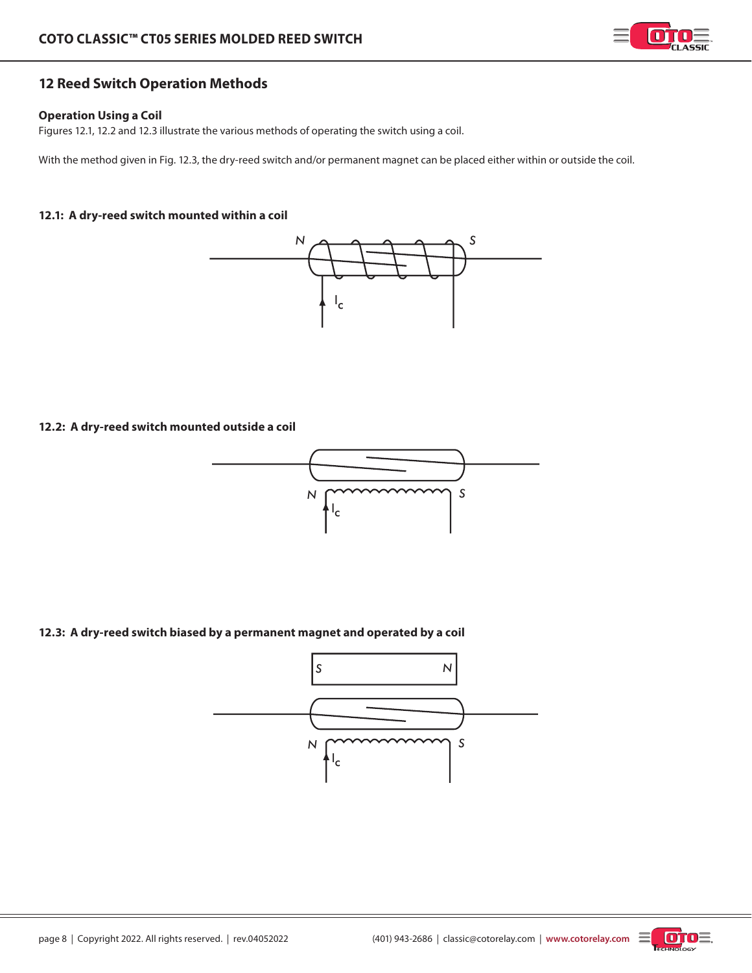

# **12 Reed Switch Operation Methods**

### **Operation Using a Coil**

Figures 12.1, 12.2 and 12.3 illustrate the various methods of operating the switch using a coil.

With the method given in Fig. 12.3, the dry-reed switch and/or permanent magnet can be placed either within or outside the coil.

## **12.1: A dry-reed switch mounted within a coil**



#### **12.2: A dry-reed switch mounted outside a coil**



## **12.3: A dry-reed switch biased by a permanent magnet and operated by a coil**



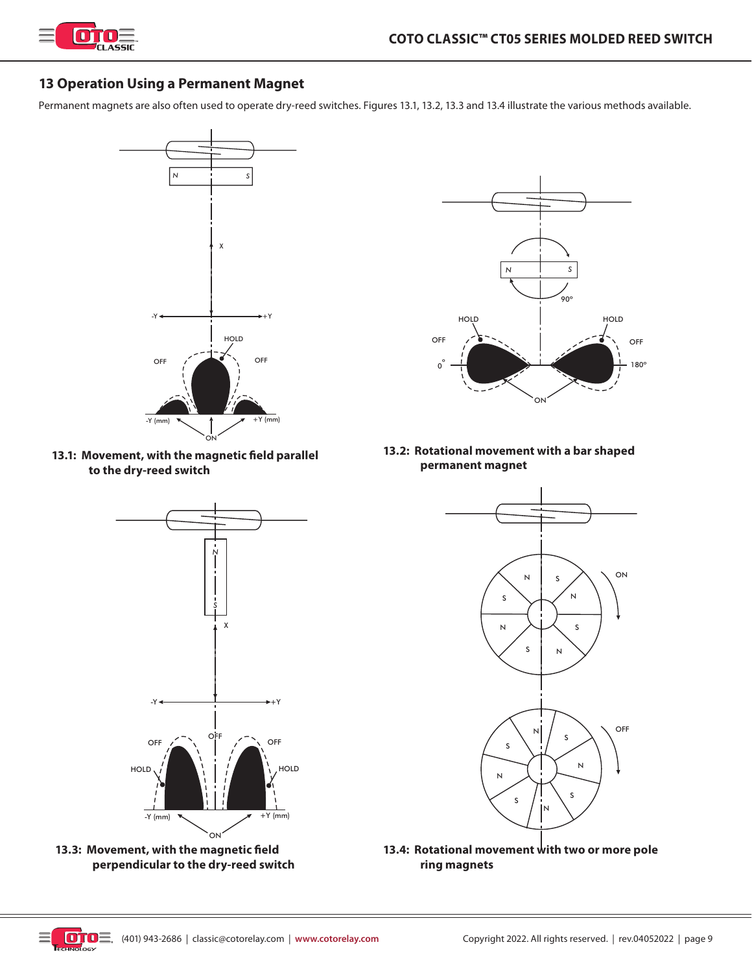

# **13 Operation Using a Permanent Magnet**

Permanent magnets are also often used to operate dry-reed switches. Figures 13.1, 13.2, 13.3 and 13.4 illustrate the various methods available.



**13.1: Movement, with the magnetic field parallel to the dry-reed switch**



**13.3: Movement, with the magnetic field perpendicular to the dry-reed switch**



**13.2: Rotational movement with a bar shaped permanent magnet**



**13.4: Rotational movement with two or more pole ring magnets**

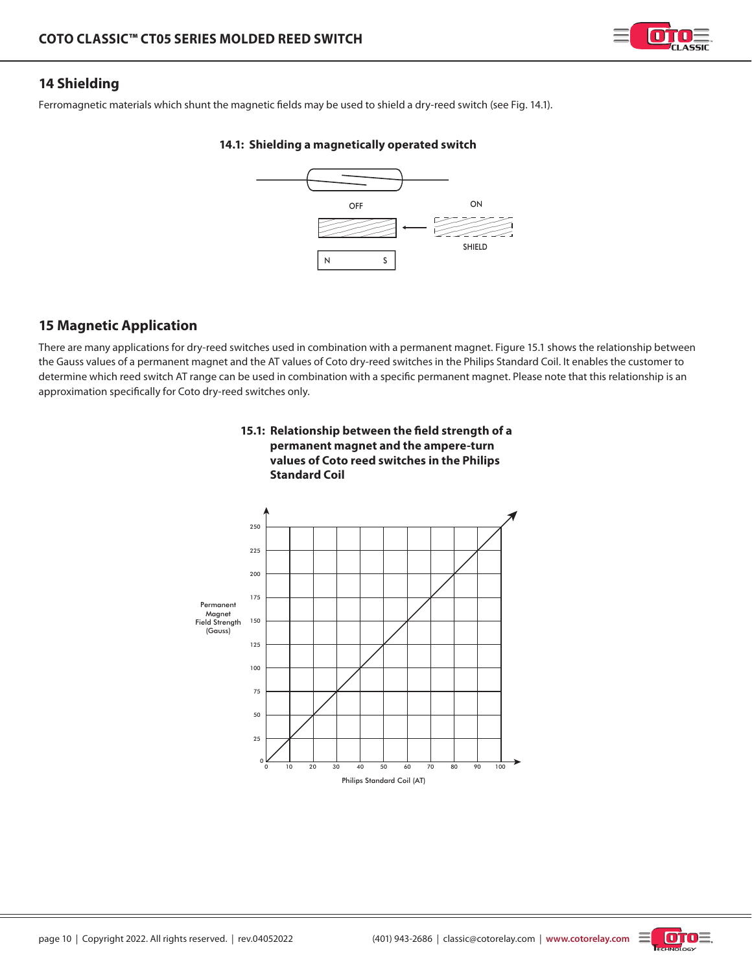

# **14 Shielding**

Ferromagnetic materials which shunt the magnetic fields may be used to shield a dry-reed switch (see Fig. 14.1).

## **14.1: Shielding a magnetically operated switch**



# **15 Magnetic Application**

There are many applications for dry-reed switches used in combination with a permanent magnet. Figure 15.1 shows the relationship between the Gauss values of a permanent magnet and the AT values of Coto dry-reed switches in the Philips Standard Coil. It enables the customer to determine which reed switch AT range can be used in combination with a specific permanent magnet. Please note that this relationship is an approximation specifically for Coto dry-reed switches only.



# **15.1: Relationship between the field strength of a permanent magnet and the ampere-turn**